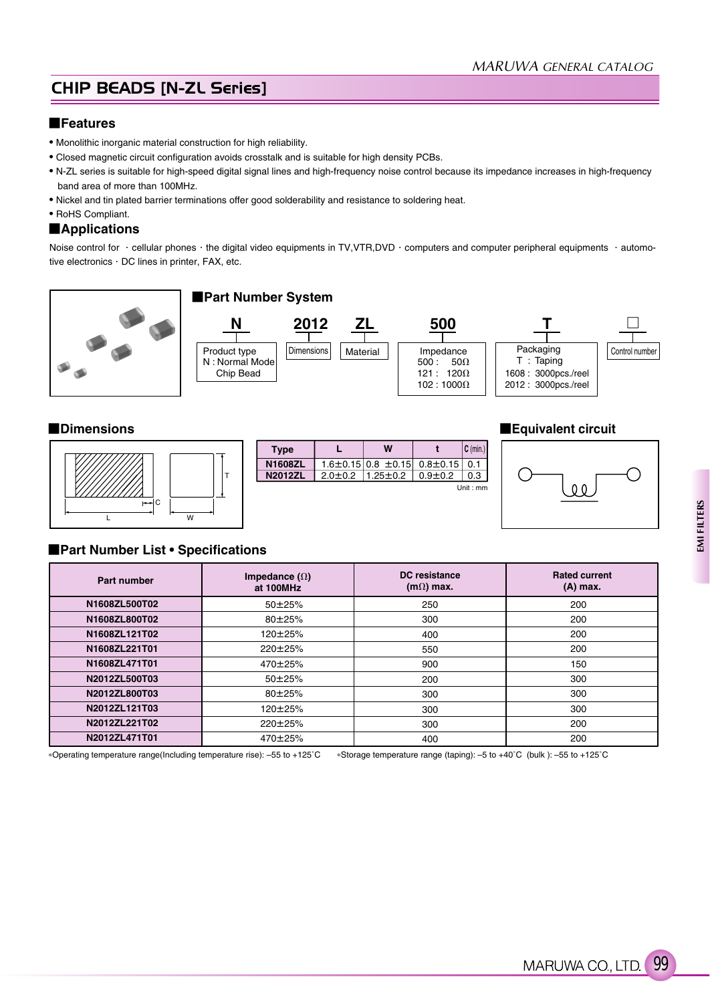# **CHIP BEADS [N-ZL Series]**

### **Features**

- Monolithic inorganic material construction for high reliability.
- Closed magnetic circuit configuration avoids crosstalk and is suitable for high density PCBs.
- N-ZL series is suitable for high-speed digital signal lines and high-frequency noise control because its impedance increases in high-frequency band area of more than 100MHz.
- Nickel and tin plated barrier terminations offer good solderability and resistance to soldering heat.
- RoHS Compliant.

#### **Applications**

Noise control for · cellular phones · the digital video equipments in TV,VTR,DVD · computers and computer peripheral equipments · automotive electronics . DC lines in printer, FAX, etc.







#### **Dimensions Equivalent circuit**



#### **Part Number List • Specifications**

| Part number   | Impedance $(\Omega)$<br>at 100MHz | <b>DC</b> resistance<br>$(m\Omega)$ max. | <b>Rated current</b><br>(A) max. |
|---------------|-----------------------------------|------------------------------------------|----------------------------------|
| N1608ZL500T02 | $50 + 25%$                        | 250                                      | 200                              |
| N1608ZL800T02 | $80 + 25%$                        | 300                                      | 200                              |
| N1608ZL121T02 | 120±25%                           | 400                                      | 200                              |
| N1608ZL221T01 | 220±25%                           | 550                                      | 200                              |
| N1608ZL471T01 | $470 \pm 25\%$                    | 900                                      | 150                              |
| N2012ZL500T03 | $50 + 25%$                        | 200                                      | 300                              |
| N2012ZL800T03 | $80 + 25%$                        | 300                                      | 300                              |
| N2012ZL121T03 | $120 \pm 25\%$                    | 300                                      | 300                              |
| N2012ZL221T02 | 220±25%                           | 300                                      | 200                              |
| N2012ZL471T01 | 470±25%                           | 400                                      | 200                              |

Operating temperature range(Including temperature rise): –55 to +125˚C Storage temperature range (taping): –5 to +40˚C (bulk ): –55 to +125˚C